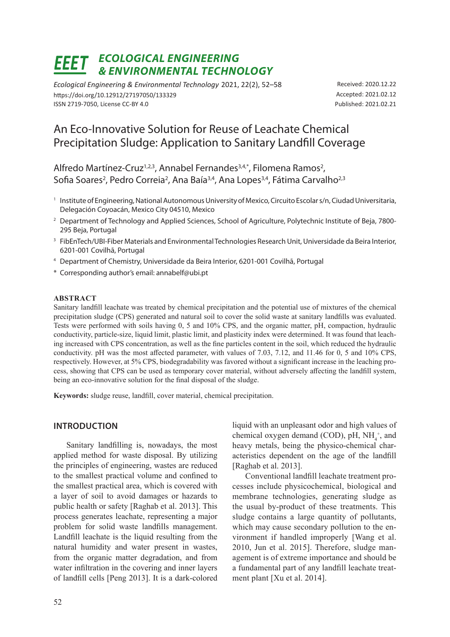# *Ecological Engineering & Environmental Technology*

*Ecological Engineering & Environmental Technology* 2021, 22(2), 52–58 https://doi.org/10.12912/27197050/133329 ISSN 2719-7050, License CC-BY 4.0

Received: 2020.12.22 Accepted: 2021.02.12 Published: 2021.02.21

# An Eco-Innovative Solution for Reuse of Leachate Chemical Precipitation Sludge: Application to Sanitary Landfill Coverage

Alfredo Martínez-Cruz<sup>1,2,3</sup>, Annabel Fernandes<sup>3,4,\*</sup>, Filomena Ramos<sup>2</sup>, Sofia Soares<sup>2</sup>, Pedro Correia<sup>2</sup>, Ana Baía<sup>3,4</sup>, Ana Lopes<sup>3,4</sup>, Fátima Carvalho<sup>2,3</sup>

- <sup>1</sup> Institute of Engineering, National Autonomous University of Mexico, Circuito Escolar s/n, Ciudad Universitaria, Delegación Coyoacán, Mexico City 04510, Mexico
- <sup>2</sup> Department of Technology and Applied Sciences, School of Agriculture, Polytechnic Institute of Beja, 7800-295 Beja, Portugal
- <sup>3</sup> FibEnTech/UBI-Fiber Materials and Environmental Technologies Research Unit, Universidade da Beira Interior, 6201-001 Covilhã, Portugal
- <sup>4</sup> Department of Chemistry, Universidade da Beira Interior, 6201-001 Covilhã, Portugal
- \* Corresponding author's email: annabelf@ubi.pt

### **Abstract**

Sanitary landfill leachate was treated by chemical precipitation and the potential use of mixtures of the chemical precipitation sludge (CPS) generated and natural soil to cover the solid waste at sanitary landfills was evaluated. Tests were performed with soils having 0, 5 and 10% CPS, and the organic matter, pH, compaction, hydraulic conductivity, particle-size, liquid limit, plastic limit, and plasticity index were determined. It was found that leaching increased with CPS concentration, as well as the fine particles content in the soil, which reduced the hydraulic conductivity. pH was the most affected parameter, with values of 7.03, 7.12, and 11.46 for 0, 5 and 10% CPS, respectively. However, at 5% CPS, biodegradability was favored without a significant increase in the leaching process, showing that CPS can be used as temporary cover material, without adversely affecting the landfill system, being an eco-innovative solution for the final disposal of the sludge.

**Keywords:** sludge reuse, landfill, cover material, chemical precipitation.

# **Introduction**

Sanitary landfilling is, nowadays, the most applied method for waste disposal. By utilizing the principles of engineering, wastes are reduced to the smallest practical volume and confined to the smallest practical area, which is covered with a layer of soil to avoid damages or hazards to public health or safety [Raghab et al. 2013]. This process generates leachate, representing a major problem for solid waste landfills management. Landfill leachate is the liquid resulting from the natural humidity and water present in wastes, from the organic matter degradation, and from water infiltration in the covering and inner layers of landfill cells [Peng 2013]. It is a dark-colored

liquid with an unpleasant odor and high values of chemical oxygen demand (COD), pH,  $NH_4^+$ , and heavy metals, being the physico-chemical characteristics dependent on the age of the landfill [Raghab et al. 2013].

Conventional landfill leachate treatment processes include physicochemical, biological and membrane technologies, generating sludge as the usual by-product of these treatments. This sludge contains a large quantity of pollutants, which may cause secondary pollution to the environment if handled improperly [Wang et al. 2010, Jun et al. 2015]. Therefore, sludge management is of extreme importance and should be a fundamental part of any landfill leachate treatment plant [Xu et al. 2014].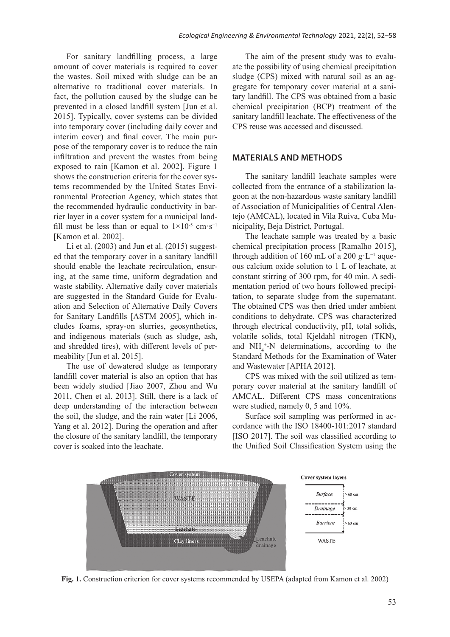For sanitary landfilling process, a large amount of cover materials is required to cover the wastes. Soil mixed with sludge can be an alternative to traditional cover materials. In fact, the pollution caused by the sludge can be prevented in a closed landfill system [Jun et al. 2015]. Typically, cover systems can be divided into temporary cover (including daily cover and interim cover) and final cover. The main purpose of the temporary cover is to reduce the rain infiltration and prevent the wastes from being exposed to rain [Kamon et al. 2002]. Figure 1 shows the construction criteria for the cover systems recommended by the United States Environmental Protection Agency, which states that the recommended hydraulic conductivity in barrier layer in a cover system for a municipal landfill must be less than or equal to  $1\times10^{-5}$  cm·s<sup>-1</sup> [Kamon et al. 2002].

Li et al.  $(2003)$  and Jun et al.  $(2015)$  suggested that the temporary cover in a sanitary landfill should enable the leachate recirculation, ensuring, at the same time, uniform degradation and waste stability. Alternative daily cover materials are suggested in the Standard Guide for Evaluation and Selection of Alternative Daily Covers for Sanitary Landfills [ASTM 2005], which includes foams, spray-on slurries, geosynthetics, and indigenous materials (such as sludge, ash, and shredded tires), with different levels of permeability [Jun et al. 2015].

The use of dewatered sludge as temporary landfill cover material is also an option that has been widely studied [Jiao 2007, Zhou and Wu 2011, Chen et al. 2013]. Still, there is a lack of deep understanding of the interaction between the soil, the sludge, and the rain water [Li 2006, Yang et al. 2012]. During the operation and after the closure of the sanitary landfill, the temporary cover is soaked into the leachate.

The aim of the present study was to evaluate the possibility of using chemical precipitation sludge (CPS) mixed with natural soil as an aggregate for temporary cover material at a sanitary landfill. The CPS was obtained from a basic chemical precipitation (BCP) treatment of the sanitary landfill leachate. The effectiveness of the CPS reuse was accessed and discussed.

## **Materials and methods**

The sanitary landfill leachate samples were collected from the entrance of a stabilization lagoon at the non-hazardous waste sanitary landfill of Association of Municipalities of Central Alentejo (AMCAL), located in Vila Ruiva, Cuba Municipality, Beja District, Portugal.

The leachate sample was treated by a basic chemical precipitation process [Ramalho 2015], through addition of 160 mL of a 200 g·L−1 aqueous calcium oxide solution to 1 L of leachate, at constant stirring of 300 rpm, for 40 min. A sedimentation period of two hours followed precipitation, to separate sludge from the supernatant. The obtained CPS was then dried under ambient conditions to dehydrate. CPS was characterized through electrical conductivity, pH, total solids, volatile solids, total Kjeldahl nitrogen (TKN), and  $NH_4^+$ -N determinations, according to the Standard Methods for the Examination of Water and Wastewater [APHA 2012].

CPS was mixed with the soil utilized as temporary cover material at the sanitary landfill of AMCAL. Different CPS mass concentrations were studied, namely 0, 5 and 10%.

Surface soil sampling was performed in accordance with the ISO 18400-101:2017 standard [ISO 2017]. The soil was classified according to the Unified Soil Classification System using the



**Fig. 1.** Construction criterion for cover systems recommended by USEPA (adapted from Kamon et al. 2002)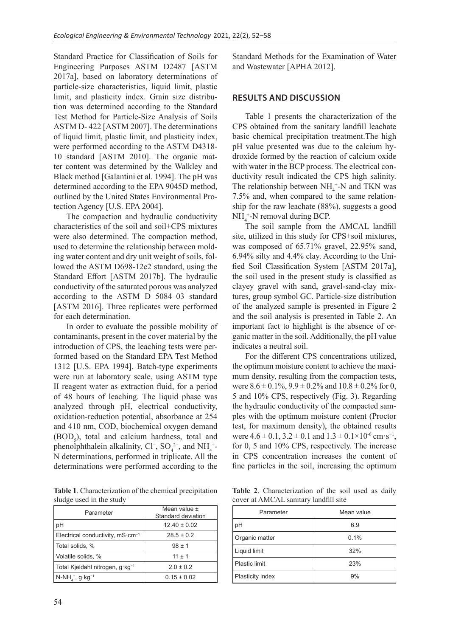Standard Practice for Classification of Soils for Engineering Purposes ASTM D2487 [ASTM 2017a], based on laboratory determinations of particle-size characteristics, liquid limit, plastic limit, and plasticity index. Grain size distribution was determined according to the Standard Test Method for Particle-Size Analysis of Soils ASTM D- 422 [ASTM 2007]. The determinations of liquid limit, plastic limit, and plasticity index, were performed according to the ASTM D4318- 10 standard [ASTM 2010]. The organic matter content was determined by the Walkley and Black method [Galantini et al. 1994]. The pH was determined according to the EPA 9045D method, outlined by the United States Environmental Protection Agency [U.S. EPA 2004].

The compaction and hydraulic conductivity characteristics of the soil and soil+CPS mixtures were also determined. The compaction method, used to determine the relationship between molding water content and dry unit weight of soils, followed the ASTM D698-12e2 standard, using the Standard Effort [ASTM 2017b]. The hydraulic conductivity of the saturated porous was analyzed according to the ASTM D 5084–03 standard [ASTM 2016]. Three replicates were performed for each determination.

In order to evaluate the possible mobility of contaminants, present in the cover material by the introduction of CPS, the leaching tests were performed based on the Standard EPA Test Method 1312 [U.S. EPA 1994]. Batch-type experiments were run at laboratory scale, using ASTM type II reagent water as extraction fluid, for a period of 48 hours of leaching. The liquid phase was analyzed through pH, electrical conductivity, oxidation-reduction potential, absorbance at 254 and 410 nm, COD, biochemical oxygen demand  $(BOD<sub>5</sub>)$ , total and calcium hardness, total and phenolphthalein alkalinity,  $Cl^-$ ,  $SO_4^{2-}$ , and  $NH_4^{+}$ -N determinations, performed in triplicate. All the determinations were performed according to the

**Table 1**. Characterization of the chemical precipitation sludge used in the study

| Parameter                                             | Mean value ±<br>Standard deviation |  |
|-------------------------------------------------------|------------------------------------|--|
| pH                                                    | $12.40 \pm 0.02$                   |  |
| Electrical conductivity, $mS \cdot cm^{-1}$           | $28.5 \pm 0.2$                     |  |
| Total solids, %                                       | $98 \pm 1$                         |  |
| Volatile solids, %                                    | $11 \pm 1$                         |  |
| Total Kjeldahl nitrogen, g·kg <sup>-1</sup>           | $2.0 \pm 0.2$                      |  |
| $N-NH_{\scriptscriptstyle{A}}^+$ , g·kg <sup>-1</sup> | $0.15 \pm 0.02$                    |  |

Standard Methods for the Examination of Water and Wastewater [APHA 2012].

# **Results and discussion**

Table 1 presents the characterization of the CPS obtained from the sanitary landfill leachate basic chemical precipitation treatment.The high pH value presented was due to the calcium hydroxide formed by the reaction of calcium oxide with water in the BCP process. The electrical conductivity result indicated the CPS high salinity. The relationship between  $NH_4^+$ -N and TKN was 7.5% and, when compared to the same relationship for the raw leachate (88%), suggests a good  $NH_4^+$ -N removal during BCP.

The soil sample from the AMCAL landfill site, utilized in this study for CPS+soil mixtures, was composed of 65.71% gravel, 22.95% sand, 6.94% silty and 4.4% clay. According to the Unified Soil Classification System [ASTM 2017a], the soil used in the present study is classified as clayey gravel with sand, gravel-sand-clay mixtures, group symbol GC. Particle-size distribution of the analyzed sample is presented in Figure 2 and the soil analysis is presented in Table 2. An important fact to highlight is the absence of organic matter in the soil. Additionally, the pH value indicates a neutral soil.

For the different CPS concentrations utilized, the optimum moisture content to achieve the maximum density, resulting from the compaction tests, were  $8.6 \pm 0.1\%$ ,  $9.9 \pm 0.2\%$  and  $10.8 \pm 0.2\%$  for 0, 5 and 10% CPS, respectively (Fig. 3). Regarding the hydraulic conductivity of the compacted samples with the optimum moisture content (Proctor test, for maximum density), the obtained results were  $4.6 \pm 0.1$ ,  $3.2 \pm 0.1$  and  $1.3 \pm 0.1 \times 10^{-6}$  cm·s<sup>-1</sup>, for 0, 5 and 10% CPS, respectively. The increase in CPS concentration increases the content of fine particles in the soil, increasing the optimum

**Table 2**. Characterization of the soil used as daily cover at AMCAL sanitary landfill site

| Parameter        | Mean value |  |  |
|------------------|------------|--|--|
| pH               | 6.9        |  |  |
| Organic matter   | 0.1%       |  |  |
| Liquid limit     | 32%        |  |  |
| Plastic limit    | 23%        |  |  |
| Plasticity index | 9%         |  |  |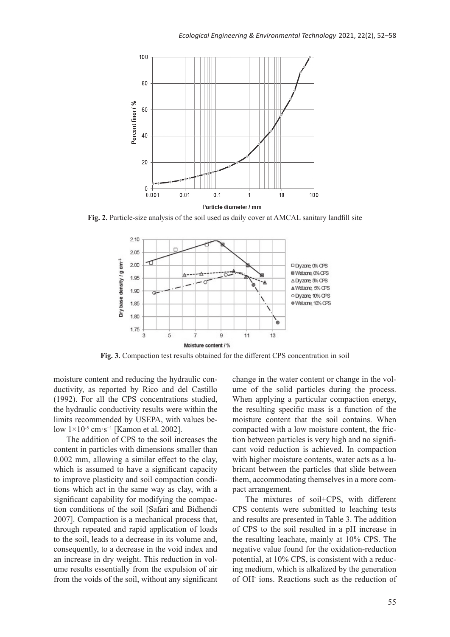

**Fig. 2.** Particle-size analysis of the soil used as daily cover at AMCAL sanitary landfill site



**Fig. 3.** Compaction test results obtained for the different CPS concentration in soil

moisture content and reducing the hydraulic conductivity, as reported by Rico and del Castillo (1992). For all the CPS concentrations studied, the hydraulic conductivity results were within the limits recommended by USEPA, with values below 1×10<sup>-5</sup> cm·s<sup>-1</sup> [Kamon et al. 2002].

The addition of CPS to the soil increases the content in particles with dimensions smaller than 0.002 mm, allowing a similar effect to the clay, which is assumed to have a significant capacity to improve plasticity and soil compaction conditions which act in the same way as clay, with a significant capability for modifying the compaction conditions of the soil [Safari and Bidhendi 2007]. Compaction is a mechanical process that, through repeated and rapid application of loads to the soil, leads to a decrease in its volume and, consequently, to a decrease in the void index and an increase in dry weight. This reduction in volume results essentially from the expulsion of air from the voids of the soil, without any significant change in the water content or change in the volume of the solid particles during the process. When applying a particular compaction energy, the resulting specific mass is a function of the moisture content that the soil contains. When compacted with a low moisture content, the friction between particles is very high and no significant void reduction is achieved. In compaction with higher moisture contents, water acts as a lubricant between the particles that slide between them, accommodating themselves in a more compact arrangement.

The mixtures of soil+CPS, with different CPS contents were submitted to leaching tests and results are presented in Table 3. The addition of CPS to the soil resulted in a pH increase in the resulting leachate, mainly at 10% CPS. The negative value found for the oxidation-reduction potential, at 10% CPS, is consistent with a reducing medium, which is alkalized by the generation of OH- ions. Reactions such as the reduction of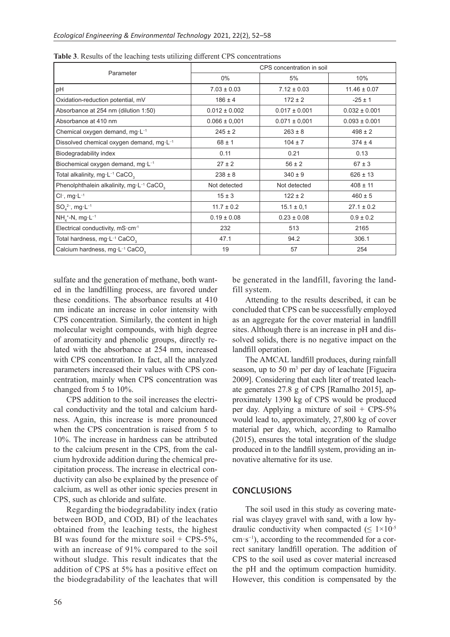| Parameter                                                        | CPS concentration in soil |                   |                   |
|------------------------------------------------------------------|---------------------------|-------------------|-------------------|
|                                                                  | $0\%$                     | 5%                | 10%               |
| pH                                                               | $7.03 \pm 0.03$           | $7.12 \pm 0.03$   | $11.46 \pm 0.07$  |
| Oxidation-reduction potential, mV                                | $186 \pm 4$               | $172 \pm 2$       | $-25 \pm 1$       |
| Absorbance at 254 nm (dilution 1:50)                             | $0.012 \pm 0.002$         | $0.017 \pm 0.001$ | $0.032 \pm 0.001$ |
| Absorbance at 410 nm                                             | $0.066 \pm 0.001$         | $0.071 \pm 0.001$ | $0.093 \pm 0.001$ |
| Chemical oxygen demand, mg $L^{-1}$                              | $245 \pm 2$               | $263 \pm 8$       | $498 \pm 2$       |
| Dissolved chemical oxygen demand, mg·L-1                         | $68 \pm 1$                | $104 \pm 7$       | $374 \pm 4$       |
| Biodegradability index                                           | 0.11                      | 0.21              | 0.13              |
| Biochemical oxygen demand, mg·L-1                                | $27 \pm 2$                | $56 \pm 2$        | $67 \pm 3$        |
| Total alkalinity, mg·L <sup>-1</sup> CaCO <sub>3</sub>           | $238 \pm 8$               | $340 \pm 9$       | $626 \pm 13$      |
| Phenolphthalein alkalinity, mg·L <sup>-1</sup> CaCO <sub>2</sub> | Not detected              | Not detected      | $408 \pm 11$      |
| $Cl^-$ , mg $·L^{-1}$                                            | $15 \pm 3$                | $122 \pm 2$       | $460 \pm 5$       |
| $SO_4^{2-}$ , mg·L <sup>-1</sup>                                 | $11.7 \pm 0.2$            | $15.1 \pm 0.1$    | $27.1 \pm 0.2$    |
| $NH4+-N, mg·L-1$                                                 | $0.19 \pm 0.08$           | $0.23 \pm 0.08$   | $0.9 \pm 0.2$     |
| Electrical conductivity, mS·cm-1                                 | 232                       | 513               | 2165              |
| Total hardness, mg·L <sup>-1</sup> CaCO <sub>3</sub>             | 47.1                      | 94.2              | 306.1             |
| Calcium hardness, mg·L-1 CaCO <sub>3</sub>                       | 19                        | 57                | 254               |

**Table 3**. Results of the leaching tests utilizing different CPS concentrations

sulfate and the generation of methane, both wanted in the landfilling process, are favored under these conditions. The absorbance results at 410 nm indicate an increase in color intensity with CPS concentration. Similarly, the content in high molecular weight compounds, with high degree of aromaticity and phenolic groups, directly related with the absorbance at 254 nm, increased with CPS concentration. In fact, all the analyzed parameters increased their values with CPS concentration, mainly when CPS concentration was changed from 5 to 10%.

CPS addition to the soil increases the electrical conductivity and the total and calcium hardness. Again, this increase is more pronounced when the CPS concentration is raised from 5 to 10%. The increase in hardness can be attributed to the calcium present in the CPS, from the calcium hydroxide addition during the chemical precipitation process. The increase in electrical conductivity can also be explained by the presence of calcium, as well as other ionic species present in CPS, such as chloride and sulfate.

Regarding the biodegradability index (ratio between  $\mathrm{BOD}_5$  and COD, BI) of the leachates obtained from the leaching tests, the highest BI was found for the mixture soil  $+$  CPS-5%, with an increase of 91% compared to the soil without sludge. This result indicates that the addition of CPS at 5% has a positive effect on the biodegradability of the leachates that will

be generated in the landfill, favoring the landfill system.

Attending to the results described, it can be concluded that CPS can be successfully employed as an aggregate for the cover material in landfill sites. Although there is an increase in pH and dissolved solids, there is no negative impact on the landfill operation.

The AMCAL landfill produces, during rainfall season, up to 50  $m<sup>3</sup>$  per day of leachate [Figueira 2009]. Considering that each liter of treated leachate generates 27.8 g of CPS [Ramalho 2015], approximately 1390 kg of CPS would be produced per day. Applying a mixture of soil + CPS-5% would lead to, approximately, 27,800 kg of cover material per day, which, according to Ramalho (2015), ensures the total integration of the sludge produced in to the landfill system, providing an innovative alternative for its use.

### **Conclusions**

The soil used in this study as covering material was clayey gravel with sand, with a low hydraulic conductivity when compacted ( $\leq 1 \times 10^{-5}$ ) cm·s−1), according to the recommended for a correct sanitary landfill operation. The addition of CPS to the soil used as cover material increased the pH and the optimum compaction humidity. However, this condition is compensated by the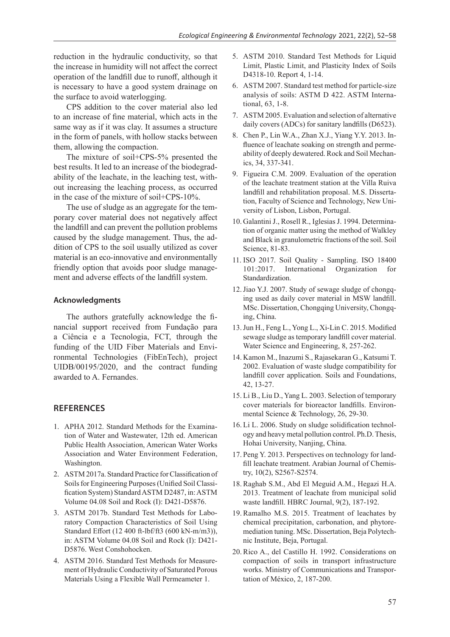reduction in the hydraulic conductivity, so that the increase in humidity will not affect the correct operation of the landfill due to runoff, although it is necessary to have a good system drainage on the surface to avoid waterlogging.

CPS addition to the cover material also led to an increase of fine material, which acts in the same way as if it was clay. It assumes a structure in the form of panels, with hollow stacks between them, allowing the compaction.

The mixture of soil+CPS-5% presented the best results. It led to an increase of the biodegradability of the leachate, in the leaching test, without increasing the leaching process, as occurred in the case of the mixture of soil+CPS-10%.

The use of sludge as an aggregate for the temporary cover material does not negatively affect the landfill and can prevent the pollution problems caused by the sludge management. Thus, the addition of CPS to the soil usually utilized as cover material is an eco-innovative and environmentally friendly option that avoids poor sludge management and adverse effects of the landfill system.

#### **Acknowledgments**

The authors gratefully acknowledge the financial support received from Fundação para a Ciência e a Tecnologia, FCT, through the funding of the UID Fiber Materials and Environmental Technologies (FibEnTech), project UIDB/00195/2020, and the contract funding awarded to A. Fernandes.

### **References**

- 1. APHA 2012. Standard Methods for the Examination of Water and Wastewater, 12th ed. American Public Health Association, American Water Works Association and Water Environment Federation, Washington.
- 2. ASTM 2017a. Standard Practice for Classification of Soils for Engineering Purposes (Unified Soil Classification System) Standard ASTM D2487, in: ASTM Volume 04.08 Soil and Rock (I): D421-D5876.
- 3. ASTM 2017b. Standard Test Methods for Laboratory Compaction Characteristics of Soil Using Standard Effort (12 400 ft-lbf/ft3 (600 kN-m/m3)), in: ASTM Volume 04.08 Soil and Rock (I): D421- D5876. West Conshohocken.
- 4. ASTM 2016. Standard Test Methods for Measurement of Hydraulic Conductivity of Saturated Porous Materials Using a Flexible Wall Permeameter 1.
- 5. ASTM 2010. Standard Test Methods for Liquid Limit, Plastic Limit, and Plasticity Index of Soils D4318-10. Report 4, 1-14.
- 6. ASTM 2007. Standard test method for particle-size analysis of soils: ASTM D 422. ASTM International, 63, 1-8.
- 7. ASTM 2005. Evaluation and selection of alternative daily covers (ADCs) for sanitary landfills (D6523).
- 8. Chen P., Lin W.A., Zhan X.J., Yiang Y.Y. 2013. Influence of leachate soaking on strength and permeability of deeply dewatered. Rock and Soil Mechanics, 34, 337-341.
- 9. Figueira C.M. 2009. Evaluation of the operation of the leachate treatment station at the Villa Ruiva landfill and rehabilitation proposal. M.S. Dissertation, Faculty of Science and Technology, New University of Lisbon, Lisbon, Portugal.
- 10. Galantini J., Rosell R., Iglesias J. 1994. Determination of organic matter using the method of Walkley and Black in granulometric fractions of the soil. Soil Science, 81-83.
- 11. ISO 2017. Soil Quality Sampling. ISO 18400 101:2017. International Organization for Standardization.
- 12.Jiao Y.J. 2007. Study of sewage sludge of chongqing used as daily cover material in MSW landfill. MSc. Dissertation, Chongqing University, Chongqing, China.
- 13.Jun H., Feng L., Yong L., Xi-Lin C. 2015. Modified sewage sludge as temporary landfill cover material. Water Science and Engineering, 8, 257-262.
- 14. Kamon M., Inazumi S., Rajasekaran G., Katsumi T. 2002. Evaluation of waste sludge compatibility for landfill cover application. Soils and Foundations, 42, 13-27.
- 15. Li B., Liu D., Yang L. 2003. Selection of temporary cover materials for bioreactor landfills. Environmental Science & Technology, 26, 29-30.
- 16. Li L. 2006. Study on sludge solidification technology and heavy metal pollution control. Ph.D. Thesis, Hohai University, Nanjing, China.
- 17. Peng Y. 2013. Perspectives on technology for landfill leachate treatment. Arabian Journal of Chemistry, 10(2), S2567-S2574.
- 18. Raghab S.M., Abd El Meguid A.M., Hegazi H.A. 2013. Treatment of leachate from municipal solid waste landfill. HBRC Journal, 9(2), 187-192.
- 19.Ramalho M.S. 2015. Treatment of leachates by chemical precipitation, carbonation, and phytoremediation tuning. MSc. Dissertation, Beja Polytechnic Institute, Beja, Portugal.
- 20.Rico A., del Castillo H. 1992. Considerations on compaction of soils in transport infrastructure works. Ministry of Communications and Transportation of México, 2, 187-200.